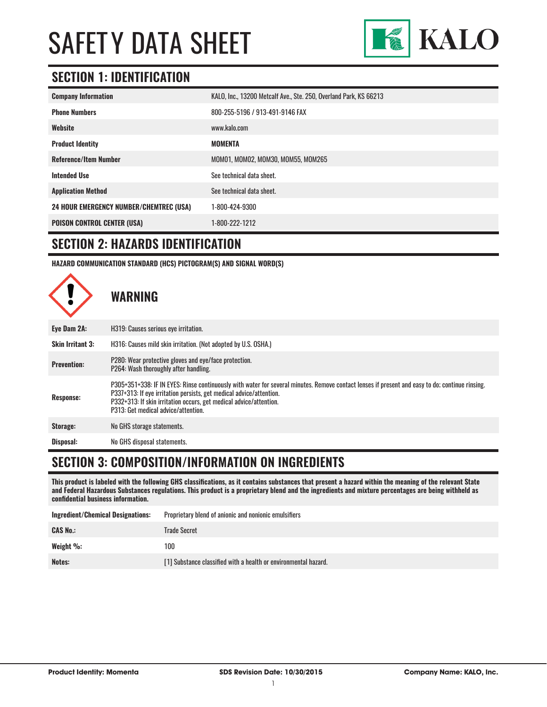

#### **SECTION 1: IDENTIFICATION**

| <b>Company Information</b>                     | KALO, Inc., 13200 Metcalf Ave., Ste. 250, Overland Park, KS 66213 |
|------------------------------------------------|-------------------------------------------------------------------|
| <b>Phone Numbers</b>                           | 800-255-5196 / 913-491-9146 FAX                                   |
| Website                                        | www.kalo.com                                                      |
| <b>Product Identity</b>                        | MOMENTA                                                           |
| <b>Reference/Item Number</b>                   | MOM01, MOM02, MOM30, MOM55, MOM265                                |
| <b>Intended Use</b>                            | See technical data sheet.                                         |
| <b>Application Method</b>                      | See technical data sheet.                                         |
| <b>24 HOUR EMERGENCY NUMBER/CHEMTREC (USA)</b> | 1-800-424-9300                                                    |
| <b>POISON CONTROL CENTER (USA)</b>             | 1-800-222-1212                                                    |

#### **SECTION 2: HAZARDS IDENTIFICATION**

**HAZARD COMMUNICATION STANDARD (HCS) PICTOGRAM(S) AND SIGNAL WORD(S)**



#### **SECTION 3: COMPOSITION/INFORMATION ON INGREDIENTS**

**This product is labeled with the following GHS classifications, as it contains substances that present a hazard within the meaning of the relevant State and Federal Hazardous Substances regulations. This product is a proprietary blend and the ingredients and mixture percentages are being withheld as confidential business information.**

| <b>Ingredient/Chemical Designations:</b> | Proprietary blend of anionic and nonionic emulsifiers           |
|------------------------------------------|-----------------------------------------------------------------|
| <b>CAS No.:</b>                          | Trade Secret                                                    |
| Weight %:                                | 100                                                             |
| Notes:                                   | [1] Substance classified with a health or environmental hazard. |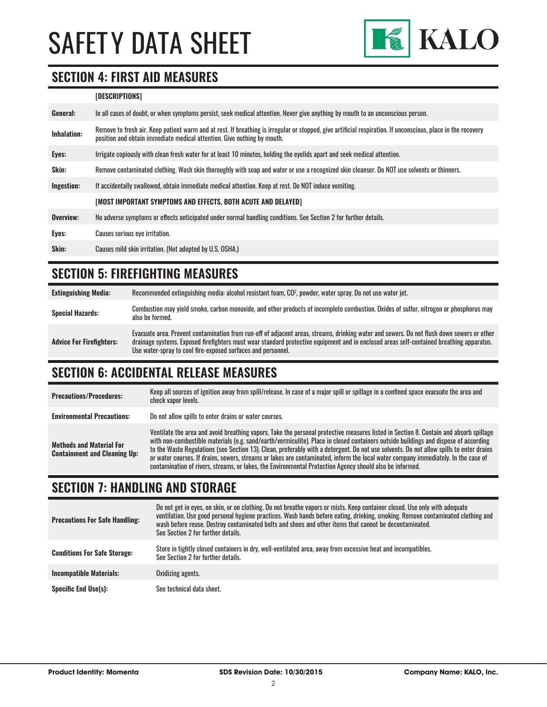

#### **SECTION 4: FIRST AID MEASURES**

#### **[DESCRIPTIONS]**

| General:    | In all cases of doubt, or when symptoms persist, seek medical attention. Never give anything by mouth to an unconscious person.                                                                                                         |
|-------------|-----------------------------------------------------------------------------------------------------------------------------------------------------------------------------------------------------------------------------------------|
| Inhalation: | Remove to fresh air. Keep patient warm and at rest. If breathing is irregular or stopped, give artificial respiration. If unconscious, place in the recovery<br>position and obtain immediate medical attention. Give nothing by mouth. |
| Eyes:       | Irrigate copiously with clean fresh water for at least 10 minutes, holding the eyelids apart and seek medical attention.                                                                                                                |
| Skin:       | Remove contaminated clothing. Wash skin thoroughly with soap and water or use a recognized skin cleanser. Do NOT use solvents or thinners.                                                                                              |
| Ingestion:  | If accidentally swallowed, obtain immediate medical attention. Keep at rest. Do NOT induce vomiting.                                                                                                                                    |
|             | [MOST IMPORTANT SYMPTOMS AND EFFECTS, BOTH ACUTE AND DELAYED]                                                                                                                                                                           |
| Overview:   | No adverse symptoms or effects anticipated under normal handling conditions. See Section 2 for further details.                                                                                                                         |
| Eyes:       | Causes serious eye irritation.                                                                                                                                                                                                          |
| Skin:       | Causes mild skin irritation. (Not adopted by U.S. OSHA.)                                                                                                                                                                                |

#### **SECTION 5: FIREFIGHTING MEASURES**

| <b>Extinguishing Media:</b>     | Recommended extinguishing media: alcohol resistant foam, CO <sup>2</sup> , powder, water spray. Do not use water jet.                                                                                                                                                                                                                                  |
|---------------------------------|--------------------------------------------------------------------------------------------------------------------------------------------------------------------------------------------------------------------------------------------------------------------------------------------------------------------------------------------------------|
| <b>Special Hazards:</b>         | Combustion may yield smoke, carbon monoxide, and other products of incomplete combustion. Oxides of sulfur, nitrogen or phosphorus may<br>also be formed.                                                                                                                                                                                              |
| <b>Advice For Firefighters:</b> | Evacuate area. Prevent contamination from run-off of adjacent areas, streams, drinking water and sewers. Do not flush down sewers or other<br>drainage systems. Exposed firefighters must wear standard protective equipment and in enclosed areas self-contained breathing apparatus.<br>Use water-spray to cool fire-exposed surfaces and personnel. |

#### **SECTION 6: ACCIDENTAL RELEASE MEASURES**

| <b>Precautions/Procedures:</b>                                         | Keep all sources of ignition away from spill/release. In case of a major spill or spillage in a confined space evacuate the area and<br>check vapor levels.                                                                                                                                                                                                                                                                                                                                                                                                                                                                                                               |
|------------------------------------------------------------------------|---------------------------------------------------------------------------------------------------------------------------------------------------------------------------------------------------------------------------------------------------------------------------------------------------------------------------------------------------------------------------------------------------------------------------------------------------------------------------------------------------------------------------------------------------------------------------------------------------------------------------------------------------------------------------|
| <b>Environmental Precautions:</b>                                      | Do not allow spills to enter drains or water courses.                                                                                                                                                                                                                                                                                                                                                                                                                                                                                                                                                                                                                     |
| <b>Methods and Material For</b><br><b>Containment and Cleaning Up:</b> | Ventilate the area and avoid breathing vapors. Take the personal protective measures listed in Section 8. Contain and absorb spillage<br>with non-combustible materials (e.g. sand/earth/vermiculite). Place in closed containers outside buildings and dispose of according<br>to the Waste Regulations (see Section 13). Clean, preferably with a detergent. Do not use solvents. Do not allow spills to enter drains<br>or water courses. If drains, sewers, streams or lakes are contaminated, inform the local water company immediately. In the case of<br>contamination of rivers, streams, or lakes, the Environmental Protection Agency should also be informed. |

#### **SECTION 7: HANDLING AND STORAGE**

| <b>Precautions For Safe Handling:</b> | Do not get in eyes, on skin, or on clothing. Do not breathe vapors or mists. Keep container closed. Use only with adequate<br>ventilation. Use good personal hygiene practices. Wash hands before eating, drinking, smoking. Remove contaminated clothing and<br>wash before reuse. Destroy contaminated belts and shoes and other items that cannot be decontaminated.<br>See Section 2 for further details. |
|---------------------------------------|---------------------------------------------------------------------------------------------------------------------------------------------------------------------------------------------------------------------------------------------------------------------------------------------------------------------------------------------------------------------------------------------------------------|
| <b>Conditions For Safe Storage:</b>   | Store in tightly closed containers in dry, well-ventilated area, away from excessive heat and incompatibles.<br>See Section 2 for further details.                                                                                                                                                                                                                                                            |
| <b>Incompatible Materials:</b>        | Oxidizing agents.                                                                                                                                                                                                                                                                                                                                                                                             |
| <b>Specific End Use(s):</b>           | See technical data sheet.                                                                                                                                                                                                                                                                                                                                                                                     |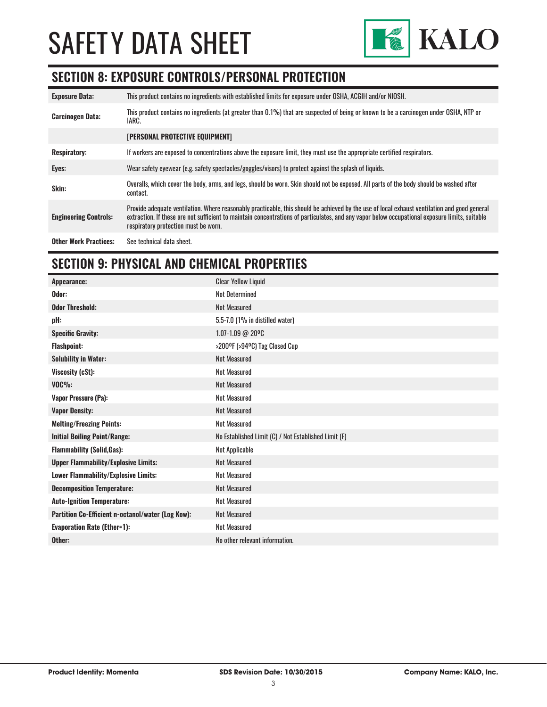

#### **SECTION 8: EXPOSURE CONTROLS/PERSONAL PROTECTION**

| <b>Exposure Data:</b>        | This product contains no ingredients with established limits for exposure under OSHA, ACGIH and/or NIOSH.                                                                                                                                                                                                                              |
|------------------------------|----------------------------------------------------------------------------------------------------------------------------------------------------------------------------------------------------------------------------------------------------------------------------------------------------------------------------------------|
| <b>Carcinogen Data:</b>      | This product contains no ingredients (at greater than 0.1%) that are suspected of being or known to be a carcinogen under OSHA. NTP or<br>IARC.                                                                                                                                                                                        |
|                              | [PERSONAL PROTECTIVE EQUIPMENT]                                                                                                                                                                                                                                                                                                        |
| <b>Respiratory:</b>          | If workers are exposed to concentrations above the exposure limit, they must use the appropriate certified respirators.                                                                                                                                                                                                                |
| Eyes:                        | Wear safety eyewear (e.g. safety spectacles/goggles/visors) to protect against the splash of liquids.                                                                                                                                                                                                                                  |
| Skin:                        | Overalls, which cover the body, arms, and legs, should be worn. Skin should not be exposed. All parts of the body should be washed after<br>contact.                                                                                                                                                                                   |
| <b>Engineering Controls:</b> | Provide adequate ventilation. Where reasonably practicable, this should be achieved by the use of local exhaust ventilation and good general<br>extraction. If these are not sufficient to maintain concentrations of particulates, and any vapor below occupational exposure limits, suitable<br>respiratory protection must be worn. |
| <b>Other Work Practices:</b> | See technical data sheet.                                                                                                                                                                                                                                                                                                              |

#### **SECTION 9: PHYSICAL AND CHEMICAL PROPERTIES**

| Appearance:                                       | <b>Clear Yellow Liquid</b>                           |
|---------------------------------------------------|------------------------------------------------------|
| Odor:                                             | <b>Not Determined</b>                                |
| <b>Odor Threshold:</b>                            | <b>Not Measured</b>                                  |
| pH:                                               | 5.5-7.0 (1% in distilled water)                      |
| <b>Specific Gravity:</b>                          | 1.07-1.09 @ 20°C                                     |
| <b>Flashpoint:</b>                                | >200°F (>94°C) Tag Closed Cup                        |
| <b>Solubility in Water:</b>                       | <b>Not Measured</b>                                  |
| Viscosity (cSt):                                  | <b>Not Measured</b>                                  |
| $VOC\%$ :                                         | <b>Not Measured</b>                                  |
| <b>Vapor Pressure (Pa):</b>                       | <b>Not Measured</b>                                  |
| <b>Vapor Density:</b>                             | <b>Not Measured</b>                                  |
| <b>Melting/Freezing Points:</b>                   | <b>Not Measured</b>                                  |
| <b>Initial Boiling Point/Range:</b>               | No Established Limit (C) / Not Established Limit (F) |
| <b>Flammability (Solid, Gas):</b>                 | <b>Not Applicable</b>                                |
| <b>Upper Flammability/Explosive Limits:</b>       | <b>Not Measured</b>                                  |
| Lower Flammability/Explosive Limits:              | <b>Not Measured</b>                                  |
| <b>Decomposition Temperature:</b>                 | <b>Not Measured</b>                                  |
| <b>Auto-Ignition Temperature:</b>                 | <b>Not Measured</b>                                  |
| Partition Co-Efficient n-octanol/water (Log Kow): | <b>Not Measured</b>                                  |
| <b>Evaporation Rate (Ether=1):</b>                | <b>Not Measured</b>                                  |
| Other:                                            | No other relevant information.                       |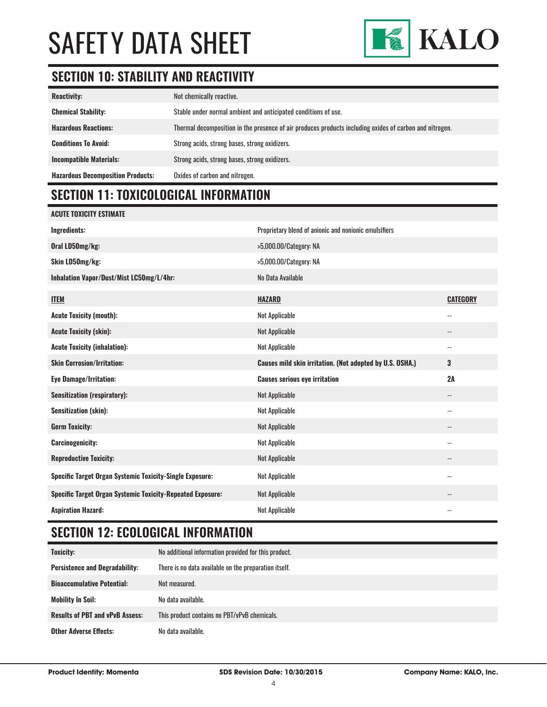

#### **SECTION 10: STABILITY AND REACTIVITY**

| <b>Reactivity:</b>                       | Not chemically reactive.                                                                                |
|------------------------------------------|---------------------------------------------------------------------------------------------------------|
| <b>Chemical Stability:</b>               | Stable under normal ambient and anticipated conditions of use.                                          |
| <b>Hazardous Reactions:</b>              | Thermal decomposition in the presence of air produces products including oxides of carbon and nitrogen. |
| <b>Conditions To Avoid:</b>              | Strong acids, strong bases, strong oxidizers.                                                           |
| <b>Incompatible Materials:</b>           | Strong acids, strong bases, strong oxidizers.                                                           |
| <b>Hazardous Decomposition Products:</b> | Oxides of carbon and nitrogen.                                                                          |

### **SECTION 11: TOXICOLOGICAL INFORMATION**

| <b>ACUTE TOXICITY ESTIMATE</b>                                    |                                                          |                          |
|-------------------------------------------------------------------|----------------------------------------------------------|--------------------------|
| <b>Ingredients:</b>                                               | Proprietary blend of anionic and nonionic emulsifiers    |                          |
| Oral LD50mg/kg:                                                   | >5,000.00/Category: NA                                   |                          |
| Skin LD50mg/kg:                                                   | >5,000.00/Category: NA                                   |                          |
| Inhalation Vapor/Dust/Mist LC50mg/L/4hr:                          | No Data Available                                        |                          |
| <b>ITEM</b>                                                       | <b>HAZARD</b>                                            | <b>CATEGORY</b>          |
| <b>Acute Toxicity (mouth):</b>                                    | Not Applicable                                           | $\overline{\phantom{a}}$ |
| <b>Acute Toxicity (skin):</b>                                     | <b>Not Applicable</b>                                    | --                       |
| <b>Acute Toxicity (inhalation):</b>                               | <b>Not Applicable</b>                                    | $\overline{\phantom{a}}$ |
| <b>Skin Corrosion/Irritation:</b>                                 | Causes mild skin irritation. (Not adopted by U.S. OSHA.) | 3                        |
| <b>Eye Damage/Irritation:</b>                                     | <b>Causes serious eye irritation</b>                     | 2A                       |
| <b>Sensitization (respiratory):</b>                               | <b>Not Applicable</b>                                    | $\overline{\phantom{a}}$ |
| <b>Sensitization (skin):</b>                                      | <b>Not Applicable</b>                                    | $-$                      |
| <b>Germ Toxicity:</b>                                             | <b>Not Applicable</b>                                    | $\overline{\phantom{a}}$ |
| <b>Carcinogenicity:</b>                                           | <b>Not Applicable</b>                                    | $\overline{\phantom{a}}$ |
| <b>Reproductive Toxicity:</b>                                     | <b>Not Applicable</b>                                    | $\overline{\phantom{a}}$ |
| Specific Target Organ Systemic Toxicity-Single Exposure:          | <b>Not Applicable</b>                                    | $\overline{\phantom{a}}$ |
| <b>Specific Target Organ Systemic Toxicity-Repeated Exposure:</b> | <b>Not Applicable</b>                                    |                          |
| <b>Aspiration Hazard:</b>                                         | <b>Not Applicable</b>                                    | $-$                      |

### **SECTION 12: ECOLOGICAL INFORMATION**

| <b>Toxicity:</b>                       | No additional information provided for this product.  |
|----------------------------------------|-------------------------------------------------------|
| <b>Persistence and Degradability:</b>  | There is no data available on the preparation itself. |
| <b>Bioaccumulative Potential:</b>      | Not measured.                                         |
| Mobility In Soil:                      | No data available.                                    |
| <b>Results of PBT and vPvB Assess:</b> | This product contains no PBT/vPvB chemicals.          |
| <b>Other Adverse Effects:</b>          | No data available.                                    |